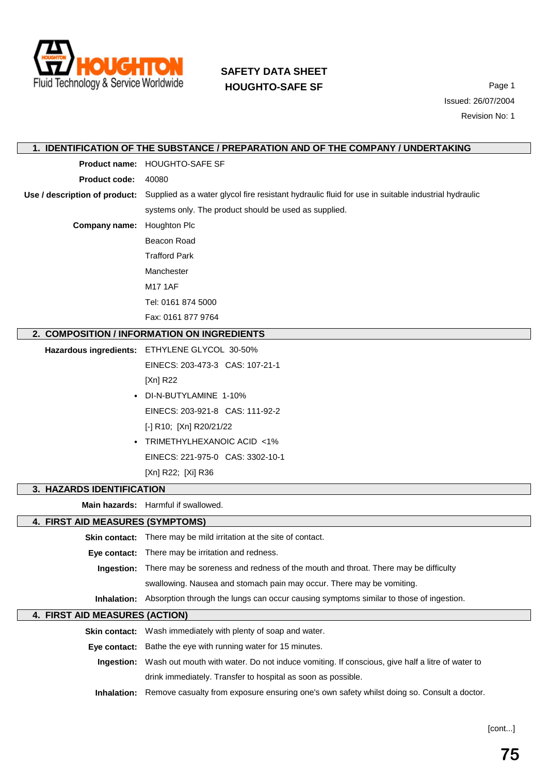

## **SAFETY DATA SHEET HOUGHTO-SAFE SF** Page 1

Issued: 26/07/2004 Revision No: 1

|                                  | 1. IDENTIFICATION OF THE SUBSTANCE / PREPARATION AND OF THE COMPANY / UNDERTAKING                                                |
|----------------------------------|----------------------------------------------------------------------------------------------------------------------------------|
|                                  | Product name: HOUGHTO-SAFE SF                                                                                                    |
| <b>Product code:</b>             | 40080                                                                                                                            |
|                                  | Use / description of product: Supplied as a water glycol fire resistant hydraulic fluid for use in suitable industrial hydraulic |
|                                  | systems only. The product should be used as supplied.                                                                            |
| <b>Company name:</b>             | Houghton Plc                                                                                                                     |
|                                  | Beacon Road                                                                                                                      |
|                                  | <b>Trafford Park</b>                                                                                                             |
|                                  | Manchester                                                                                                                       |
|                                  | <b>M17 1AF</b>                                                                                                                   |
|                                  | Tel: 0161 874 5000                                                                                                               |
|                                  | Fax: 0161 877 9764                                                                                                               |
|                                  | 2. COMPOSITION / INFORMATION ON INGREDIENTS                                                                                      |
|                                  | Hazardous ingredients: ETHYLENE GLYCOL 30-50%                                                                                    |
|                                  | EINECS: 203-473-3 CAS: 107-21-1                                                                                                  |
|                                  | [Xn] R22                                                                                                                         |
|                                  | DI-N-BUTYLAMINE 1-10%                                                                                                            |
|                                  | EINECS: 203-921-8 CAS: 111-92-2                                                                                                  |
|                                  | [-] R10; [Xn] R20/21/22                                                                                                          |
| $\bullet$                        | TRIMETHYLHEXANOIC ACID <1%                                                                                                       |
|                                  | EINECS: 221-975-0 CAS: 3302-10-1                                                                                                 |
|                                  | [Xn] R22; [Xi] R36                                                                                                               |
| 3. HAZARDS IDENTIFICATION        |                                                                                                                                  |
|                                  | Main hazards: Harmful if swallowed.                                                                                              |
| 4. FIRST AID MEASURES (SYMPTOMS) |                                                                                                                                  |
|                                  |                                                                                                                                  |
|                                  | Skin contact: There may be mild irritation at the site of contact.                                                               |
|                                  | <b>Eye contact:</b> There may be irritation and redness.                                                                         |
| Ingestion:                       | There may be soreness and redness of the mouth and throat. There may be difficulty                                               |
|                                  | swallowing. Nausea and stomach pain may occur. There may be vomiting.                                                            |
|                                  | Inhalation: Absorption through the lungs can occur causing symptoms similar to those of ingestion.                               |
| 4. FIRST AID MEASURES (ACTION)   |                                                                                                                                  |
|                                  | Skin contact: Wash immediately with plenty of soap and water.                                                                    |
| Eye contact:                     | Bathe the eye with running water for 15 minutes.                                                                                 |
| Ingestion:                       | Wash out mouth with water. Do not induce vomiting. If conscious, give half a litre of water to                                   |
|                                  | drink immediately. Transfer to hospital as soon as possible.                                                                     |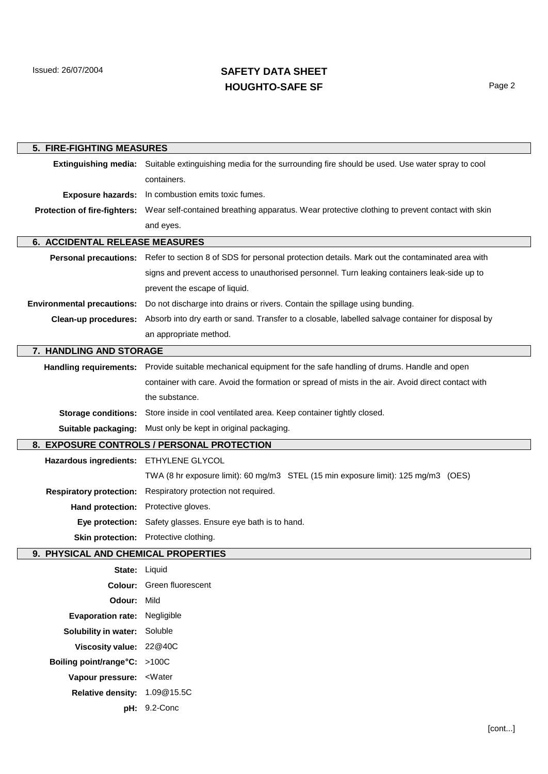Issued: 26/07/2004

## **SAFETY DATA SHEET HOUGHTO-SAFE SF** Page 2

| 5. FIRE-FIGHTING MEASURES           |                                                                                                                      |  |
|-------------------------------------|----------------------------------------------------------------------------------------------------------------------|--|
|                                     | Extinguishing media: Suitable extinguishing media for the surrounding fire should be used. Use water spray to cool   |  |
|                                     | containers.                                                                                                          |  |
| <b>Exposure hazards:</b>            | In combustion emits toxic fumes.                                                                                     |  |
| <b>Protection of fire-fighters:</b> | Wear self-contained breathing apparatus. Wear protective clothing to prevent contact with skin                       |  |
|                                     | and eyes.                                                                                                            |  |
| 6. ACCIDENTAL RELEASE MEASURES      |                                                                                                                      |  |
|                                     | Personal precautions: Refer to section 8 of SDS for personal protection details. Mark out the contaminated area with |  |
|                                     | signs and prevent access to unauthorised personnel. Turn leaking containers leak-side up to                          |  |
|                                     | prevent the escape of liquid.                                                                                        |  |
| <b>Environmental precautions:</b>   | Do not discharge into drains or rivers. Contain the spillage using bunding.                                          |  |
| Clean-up procedures:                | Absorb into dry earth or sand. Transfer to a closable, labelled salvage container for disposal by                    |  |
|                                     | an appropriate method.                                                                                               |  |
| 7. HANDLING AND STORAGE             |                                                                                                                      |  |
|                                     | Handling requirements: Provide suitable mechanical equipment for the safe handling of drums. Handle and open         |  |
|                                     | container with care. Avoid the formation or spread of mists in the air. Avoid direct contact with                    |  |
|                                     | the substance.                                                                                                       |  |
| <b>Storage conditions:</b>          | Store inside in cool ventilated area. Keep container tightly closed.                                                 |  |
| Suitable packaging:                 | Must only be kept in original packaging.                                                                             |  |
|                                     | 8. EXPOSURE CONTROLS / PERSONAL PROTECTION                                                                           |  |
| <b>Hazardous ingredients:</b>       | ETHYLENE GLYCOL                                                                                                      |  |
|                                     | TWA (8 hr exposure limit): 60 mg/m3 STEL (15 min exposure limit): 125 mg/m3 (OES)                                    |  |
| <b>Respiratory protection:</b>      | Respiratory protection not required.                                                                                 |  |
| Hand protection:                    | Protective gloves.                                                                                                   |  |
| Eye protection:                     | Safety glasses. Ensure eye bath is to hand.                                                                          |  |
| <b>Skin protection:</b>             | Protective clothing.                                                                                                 |  |
| 9. PHYSICAL AND CHEMICAL PROPERTIES |                                                                                                                      |  |
|                                     | State: Liquid                                                                                                        |  |
|                                     | Colour: Green fluorescent                                                                                            |  |
| Odour: Mild                         |                                                                                                                      |  |
| Evaporation rate: Negligible        |                                                                                                                      |  |
| Solubility in water: Soluble        |                                                                                                                      |  |
| Viscosity value: 22@40C             |                                                                                                                      |  |
| Boiling point/range°C: >100C        |                                                                                                                      |  |
| Vapour pressure: < Water            |                                                                                                                      |  |
| Relative density: 1.09@15.5C        |                                                                                                                      |  |
|                                     | pH: 9.2-Conc                                                                                                         |  |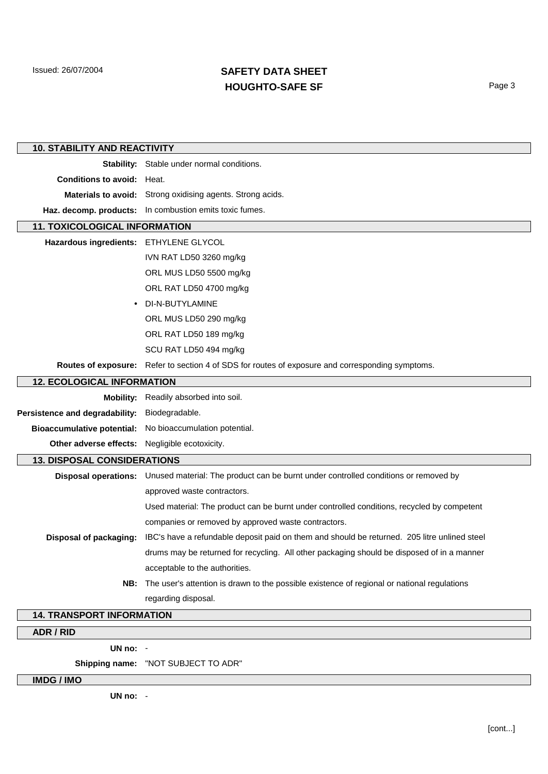Issued: 26/07/2004

## **SAFETY DATA SHEET HOUGHTO-SAFE SF** Page 3

| <b>10. STABILITY AND REACTIVITY</b>    |                                                                                                          |  |
|----------------------------------------|----------------------------------------------------------------------------------------------------------|--|
|                                        | Stability: Stable under normal conditions.                                                               |  |
| <b>Conditions to avoid: Heat.</b>      |                                                                                                          |  |
|                                        | Materials to avoid: Strong oxidising agents. Strong acids.                                               |  |
|                                        | Haz. decomp. products: In combustion emits toxic fumes.                                                  |  |
| <b>11. TOXICOLOGICAL INFORMATION</b>   |                                                                                                          |  |
| Hazardous ingredients: ETHYLENE GLYCOL |                                                                                                          |  |
|                                        | IVN RAT LD50 3260 mg/kg                                                                                  |  |
|                                        | ORL MUS LD50 5500 mg/kg                                                                                  |  |
|                                        | ORL RAT LD50 4700 mg/kg                                                                                  |  |
|                                        | DI-N-BUTYLAMINE                                                                                          |  |
|                                        | ORL MUS LD50 290 mg/kg                                                                                   |  |
|                                        | ORL RAT LD50 189 mg/kg                                                                                   |  |
|                                        | SCU RAT LD50 494 mg/kg                                                                                   |  |
|                                        | Routes of exposure: Refer to section 4 of SDS for routes of exposure and corresponding symptoms.         |  |
| <b>12. ECOLOGICAL INFORMATION</b>      |                                                                                                          |  |
| <b>Mobility:</b>                       | Readily absorbed into soil.                                                                              |  |
| Persistence and degradability:         | Biodegradable.                                                                                           |  |
| <b>Bioaccumulative potential:</b>      | No bioaccumulation potential.                                                                            |  |
| Other adverse effects:                 | Negligible ecotoxicity.                                                                                  |  |
| <b>13. DISPOSAL CONSIDERATIONS</b>     |                                                                                                          |  |
|                                        | Disposal operations: Unused material: The product can be burnt under controlled conditions or removed by |  |
|                                        | approved waste contractors.                                                                              |  |
|                                        | Used material: The product can be burnt under controlled conditions, recycled by competent               |  |
|                                        | companies or removed by approved waste contractors.                                                      |  |
| Disposal of packaging:                 | IBC's have a refundable deposit paid on them and should be returned. 205 litre unlined steel             |  |
|                                        | drums may be returned for recycling. All other packaging should be disposed of in a manner               |  |
|                                        | acceptable to the authorities.                                                                           |  |
|                                        | NB: The user's attention is drawn to the possible existence of regional or national regulations          |  |
|                                        | regarding disposal.                                                                                      |  |
| <b>14. TRANSPORT INFORMATION</b>       |                                                                                                          |  |
| ADR / RID                              |                                                                                                          |  |

**UN no:** -

**Shipping name:** "NOT SUBJECT TO ADR"

**IMDG / IMO**

**UN no:** -